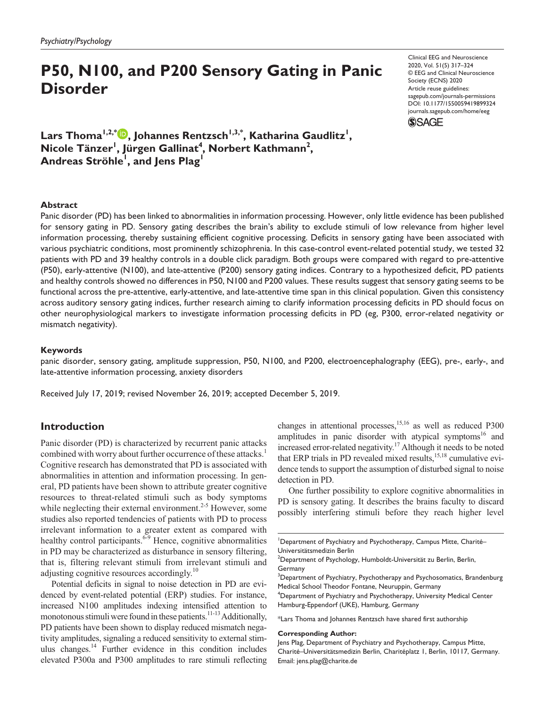# **P50, N100, and P200 Sensory Gating in Panic Disorder**

https://doi.org/10.1177/1550059419899324 DOI: 10.1177/1550059419899324 Clinical EEG and Neuroscience 2020, Vol. 51(5) 317–324 © EEG and Clinical Neuroscience Society (ECNS) 2020 Article reuse guidelines: [sagepub.com/journals-permissions](https://us.sagepub.com/en-us/journals-permissions) [journals.sagepub.com/home/eeg](https://journals.sagepub.com/home/eeg)

**SSAGE** 

Lars Thoma<sup>I,2,\*</sup> . Johannes Rentzsch<sup>I,3,\*</sup>, Katharina Gaudlitz<sup>I</sup>, Nicole Tänzer<sup>1</sup>, Jürgen Gallinat<sup>4</sup>, Norbert Kathmann<sup>2</sup>, **Andreas Ströhle1 , and Jens Plag1**

#### **Abstract**

Panic disorder (PD) has been linked to abnormalities in information processing. However, only little evidence has been published for sensory gating in PD. Sensory gating describes the brain's ability to exclude stimuli of low relevance from higher level information processing, thereby sustaining efficient cognitive processing. Deficits in sensory gating have been associated with various psychiatric conditions, most prominently schizophrenia. In this case-control event-related potential study, we tested 32 patients with PD and 39 healthy controls in a double click paradigm. Both groups were compared with regard to pre-attentive (P50), early-attentive (N100), and late-attentive (P200) sensory gating indices. Contrary to a hypothesized deficit, PD patients and healthy controls showed no differences in P50, N100 and P200 values. These results suggest that sensory gating seems to be functional across the pre-attentive, early-attentive, and late-attentive time span in this clinical population. Given this consistency across auditory sensory gating indices, further research aiming to clarify information processing deficits in PD should focus on other neurophysiological markers to investigate information processing deficits in PD (eg, P300, error-related negativity or mismatch negativity).

#### **Keywords**

panic disorder, sensory gating, amplitude suppression, P50, N100, and P200, electroencephalography (EEG), pre-, early-, and late-attentive information processing, anxiety disorders

Received July 17, 2019; revised November 26, 2019; accepted December 5, 2019.

#### **Introduction**

Panic disorder (PD) is characterized by recurrent panic attacks combined with worry about further occurrence of these attacks.<sup>1</sup> Cognitive research has demonstrated that PD is associated with abnormalities in attention and information processing. In general, PD patients have been shown to attribute greater cognitive resources to threat-related stimuli such as body symptoms while neglecting their external environment.<sup>2-5</sup> However, some studies also reported tendencies of patients with PD to process irrelevant information to a greater extent as compared with healthy control participants. $6-9$  Hence, cognitive abnormalities in PD may be characterized as disturbance in sensory filtering, that is, filtering relevant stimuli from irrelevant stimuli and adjusting cognitive resources accordingly.<sup>10</sup>

Potential deficits in signal to noise detection in PD are evidenced by event-related potential (ERP) studies. For instance, increased N100 amplitudes indexing intensified attention to monotonous stimuli were found in these patients.<sup>11-13</sup> Additionally, PD patients have been shown to display reduced mismatch negativity amplitudes, signaling a reduced sensitivity to external stimulus changes. $^{14}$  Further evidence in this condition includes elevated P300a and P300 amplitudes to rare stimuli reflecting

changes in attentional processes, $15,16$  as well as reduced P300 amplitudes in panic disorder with atypical symptoms<sup>16</sup> and increased error-related negativity.<sup>17</sup> Although it needs to be noted that ERP trials in PD revealed mixed results, $15,18$  cumulative evidence tends to support the assumption of disturbed signal to noise detection in PD.

One further possibility to explore cognitive abnormalities in PD is sensory gating. It describes the brains faculty to discard possibly interfering stimuli before they reach higher level

\*Lars Thoma and Johannes Rentzsch have shared first authorship

#### **Corresponding Author:**

Jens Plag, Department of Psychiatry and Psychotherapy, Campus Mitte, Charité–Universitätsmedizin Berlin, Charitéplatz 1, Berlin, 10117, Germany. Email: [jens.plag@charite.de](mailto:jens.plag@charite.de)

<sup>&</sup>lt;sup>1</sup>Department of Psychiatry and Psychotherapy, Campus Mitte, Charité-Universitätsmedizin Berlin

 $^{2}$ Department of Psychology, Humboldt-Universität zu Berlin, Berlin, Germany

 ${}^{3}$ Department of Psychiatry, Psychotherapy and Psychosomatics, Brandenburg Medical School Theodor Fontane, Neuruppin, Germany

<sup>4</sup> Department of Psychiatry and Psychotherapy, University Medical Center Hamburg-Eppendorf (UKE), Hamburg, Germany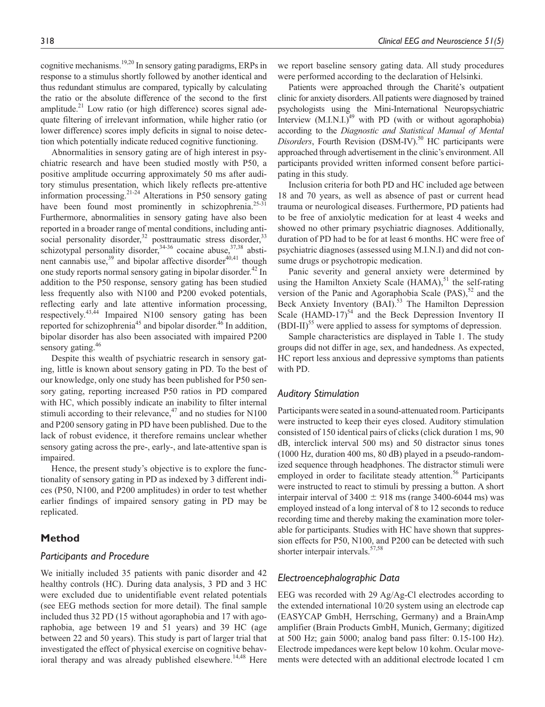cognitive mechanisms.19,20 In sensory gating paradigms, ERPs in response to a stimulus shortly followed by another identical and thus redundant stimulus are compared, typically by calculating the ratio or the absolute difference of the second to the first amplitude. $^{21}$  Low ratio (or high difference) scores signal adequate filtering of irrelevant information, while higher ratio (or lower difference) scores imply deficits in signal to noise detection which potentially indicate reduced cognitive functioning.

Abnormalities in sensory gating are of high interest in psychiatric research and have been studied mostly with P50, a positive amplitude occurring approximately 50 ms after auditory stimulus presentation, which likely reflects pre-attentive information processing.21-24 Alterations in P50 sensory gating have been found most prominently in schizophrenia.<sup>25-31</sup> Furthermore, abnormalities in sensory gating have also been reported in a broader range of mental conditions, including antisocial personality disorder,<sup>32</sup> posttraumatic stress disorder,<sup>33</sup> schizotypal personality disorder,  $34-36$  cocaine abuse,  $37,38$  abstinent cannabis use,<sup>39</sup> and bipolar affective disorder<sup>40,41</sup> though one study reports normal sensory gating in bipolar disorder.<sup>42</sup> In addition to the P50 response, sensory gating has been studied less frequently also with N100 and P200 evoked potentials, reflecting early and late attentive information processing, respectively.<sup>43,44</sup> Impaired N100 sensory gating has been reported for schizophrenia<sup>45</sup> and bipolar disorder.<sup>46</sup> In addition, bipolar disorder has also been associated with impaired P200 sensory gating.<sup>46</sup>

Despite this wealth of psychiatric research in sensory gating, little is known about sensory gating in PD. To the best of our knowledge, only one study has been published for P50 sensory gating, reporting increased P50 ratios in PD compared with HC, which possibly indicate an inability to filter internal stimuli according to their relevance, $47$  and no studies for N100 and P200 sensory gating in PD have been published. Due to the lack of robust evidence, it therefore remains unclear whether sensory gating across the pre-, early-, and late-attentive span is impaired.

Hence, the present study's objective is to explore the functionality of sensory gating in PD as indexed by 3 different indices (P50, N100, and P200 amplitudes) in order to test whether earlier findings of impaired sensory gating in PD may be replicated.

# **Method**

#### *Participants and Procedure*

We initially included 35 patients with panic disorder and 42 healthy controls (HC). During data analysis, 3 PD and 3 HC were excluded due to unidentifiable event related potentials (see EEG methods section for more detail). The final sample included thus 32 PD (15 without agoraphobia and 17 with agoraphobia, age between 19 and 51 years) and 39 HC (age between 22 and 50 years). This study is part of larger trial that investigated the effect of physical exercise on cognitive behavioral therapy and was already published elsewhere.<sup>14,48</sup> Here

we report baseline sensory gating data. All study procedures were performed according to the declaration of Helsinki.

Patients were approached through the Charité's outpatient clinic for anxiety disorders. All patients were diagnosed by trained psychologists using the Mini-International Neuropsychiatric Interview  $(M.I.N.I.)^{49}$  with PD (with or without agoraphobia) according to the *Diagnostic and Statistical Manual of Mental Disorders*, Fourth Revision (DSM-IV).<sup>50</sup> HC participants were approached through advertisement in the clinic's environment. All participants provided written informed consent before participating in this study.

Inclusion criteria for both PD and HC included age between 18 and 70 years, as well as absence of past or current head trauma or neurological diseases. Furthermore, PD patients had to be free of anxiolytic medication for at least 4 weeks and showed no other primary psychiatric diagnoses. Additionally, duration of PD had to be for at least 6 months. HC were free of psychiatric diagnoses (assessed using M.I.N.I) and did not consume drugs or psychotropic medication.

Panic severity and general anxiety were determined by using the Hamilton Anxiety Scale  $(HAMA)$ ,<sup>51</sup> the self-rating version of the Panic and Agoraphobia Scale  $(PAS)$ ,<sup>52</sup> and the Beck Anxiety Inventory (BAI).<sup>53</sup> The Hamilton Depression Scale (HAMD-17) $54$  and the Beck Depression Inventory II  $(BDI-II)<sup>55</sup>$  were applied to assess for symptoms of depression.

Sample characteristics are displayed in Table 1. The study groups did not differ in age, sex, and handedness. As expected, HC report less anxious and depressive symptoms than patients with PD.

#### *Auditory Stimulation*

Participants were seated in a sound-attenuated room. Participants were instructed to keep their eyes closed. Auditory stimulation consisted of 150 identical pairs of clicks (click duration 1 ms, 90 dB, interclick interval 500 ms) and 50 distractor sinus tones (1000 Hz, duration 400 ms, 80 dB) played in a pseudo-randomized sequence through headphones. The distractor stimuli were employed in order to facilitate steady attention.<sup>56</sup> Participants were instructed to react to stimuli by pressing a button. A short interpair interval of  $3400 \pm 918$  ms (range 3400-6044 ms) was employed instead of a long interval of 8 to 12 seconds to reduce recording time and thereby making the examination more tolerable for participants. Studies with HC have shown that suppression effects for P50, N100, and P200 can be detected with such shorter interpair intervals.<sup>57,58</sup>

# *Electroencephalographic Data*

EEG was recorded with 29 Ag/Ag-Cl electrodes according to the extended international 10/20 system using an electrode cap (EASYCAP GmbH, Herrsching, Germany) and a BrainAmp amplifier (Brain Products GmbH, Munich, Germany; digitized at 500 Hz; gain 5000; analog band pass filter: 0.15-100 Hz). Electrode impedances were kept below 10 kohm. Ocular movements were detected with an additional electrode located 1 cm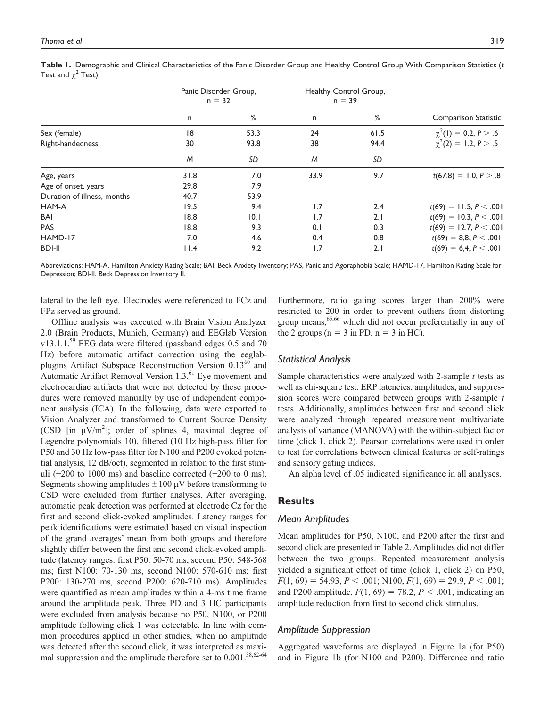|                             | Panic Disorder Group,<br>$n = 32$ |      | Healthy Control Group,<br>$n = 39$ |      |                           |  |
|-----------------------------|-----------------------------------|------|------------------------------------|------|---------------------------|--|
|                             | n                                 | %    | n                                  | %    | Comparison Statistic      |  |
| Sex (female)                | 18                                | 53.3 | 24                                 | 61.5 | $\chi^2(1) = 0.2, P > .6$ |  |
| Right-handedness            | 30                                | 93.8 | 38                                 | 94.4 | $\chi^2(2) = 1.2, P > .5$ |  |
|                             | M                                 | SD   | M                                  | SD   |                           |  |
| Age, years                  | 31.8                              | 7.0  | 33.9                               | 9.7  | $t(67.8) = 1.0, P > .8$   |  |
| Age of onset, years         | 29.8                              | 7.9  |                                    |      |                           |  |
| Duration of illness, months | 40.7                              | 53.9 |                                    |      |                           |  |
| HAM-A                       | 19.5                              | 9.4  | 1.7                                | 2.4  | $t(69) = 11.5, P < .001$  |  |
| BAI                         | 18.8                              | 0.1  | 1.7                                | 2.1  | $t(69) = 10.3, P < .001$  |  |
| <b>PAS</b>                  | 18.8                              | 9.3  | 0.1                                | 0.3  | $t(69) = 12.7, P < .001$  |  |
| HAMD-17                     | 7.0                               | 4.6  | 0.4                                | 0.8  | $t(69) = 8,8, P < .001$   |  |
| <b>BDI-II</b>               | 11.4                              | 9.2  | 1.7                                | 2.1  | $t(69) = 6,4, P < .001$   |  |

**Table 1.** Demographic and Clinical Characteristics of the Panic Disorder Group and Healthy Control Group With Comparison Statistics (*t* Test and  $\chi^2$  Test).

Abbreviations: HAM-A, Hamilton Anxiety Rating Scale; BAI, Beck Anxiety Inventory; PAS, Panic and Agoraphobia Scale; HAMD-17, Hamilton Rating Scale for Depression; BDI-II, Beck Depression Inventory II.

lateral to the left eye. Electrodes were referenced to FCz and FPz served as ground.

Offline analysis was executed with Brain Vision Analyzer 2.0 (Brain Products, Munich, Germany) and EEGlab Version  $v13.1.1$ <sup>59</sup> EEG data were filtered (passband edges 0.5 and 70 Hz) before automatic artifact correction using the eeglabplugins Artifact Subspace Reconstruction Version 0.13<sup>60</sup> and Automatic Artifact Removal Version 1.3.<sup>61</sup> Eye movement and electrocardiac artifacts that were not detected by these procedures were removed manually by use of independent component analysis (ICA). In the following, data were exported to Vision Analyzer and transformed to Current Source Density (CSD [in  $\mu$ V/m<sup>2</sup>]; order of splines 4, maximal degree of Legendre polynomials 10), filtered (10 Hz high-pass filter for P50 and 30 Hz low-pass filter for N100 and P200 evoked potential analysis, 12 dB/oct), segmented in relation to the first stimuli ( $-200$  to 1000 ms) and baseline corrected ( $-200$  to 0 ms). Segments showing amplitudes  $\pm 100 \mu V$  before transforming to CSD were excluded from further analyses. After averaging, automatic peak detection was performed at electrode Cz for the first and second click-evoked amplitudes. Latency ranges for peak identifications were estimated based on visual inspection of the grand averages' mean from both groups and therefore slightly differ between the first and second click-evoked amplitude (latency ranges: first P50: 50-70 ms, second P50: 548-568 ms; first N100: 70-130 ms, second N100: 570-610 ms; first P200: 130-270 ms, second P200: 620-710 ms). Amplitudes were quantified as mean amplitudes within a 4-ms time frame around the amplitude peak. Three PD and 3 HC participants were excluded from analysis because no P50, N100, or P200 amplitude following click 1 was detectable. In line with common procedures applied in other studies, when no amplitude was detected after the second click, it was interpreted as maximal suppression and the amplitude therefore set to  $0.001$ .<sup>38,62-64</sup>

Furthermore, ratio gating scores larger than 200% were restricted to 200 in order to prevent outliers from distorting group means,  $65,66$  which did not occur preferentially in any of the 2 groups ( $n = 3$  in PD,  $n = 3$  in HC).

#### *Statistical Analysis*

Sample characteristics were analyzed with 2-sample *t* tests as well as chi-square test. ERP latencies, amplitudes, and suppression scores were compared between groups with 2-sample *t* tests. Additionally, amplitudes between first and second click were analyzed through repeated measurement multivariate analysis of variance (MANOVA) with the within-subject factor time (click 1, click 2). Pearson correlations were used in order to test for correlations between clinical features or self-ratings and sensory gating indices.

An alpha level of .05 indicated significance in all analyses.

# **Results**

#### *Mean Amplitudes*

Mean amplitudes for P50, N100, and P200 after the first and second click are presented in Table 2. Amplitudes did not differ between the two groups. Repeated measurement analysis yielded a significant effect of time (click 1, click 2) on P50,  $F(1, 69) = 54.93, P < .001; N100, F(1, 69) = 29.9, P < .001;$ and P200 amplitude,  $F(1, 69) = 78.2, P < .001$ , indicating an amplitude reduction from first to second click stimulus.

#### *Amplitude Suppression*

Aggregated waveforms are displayed in Figure 1a (for P50) and in Figure 1b (for N100 and P200). Difference and ratio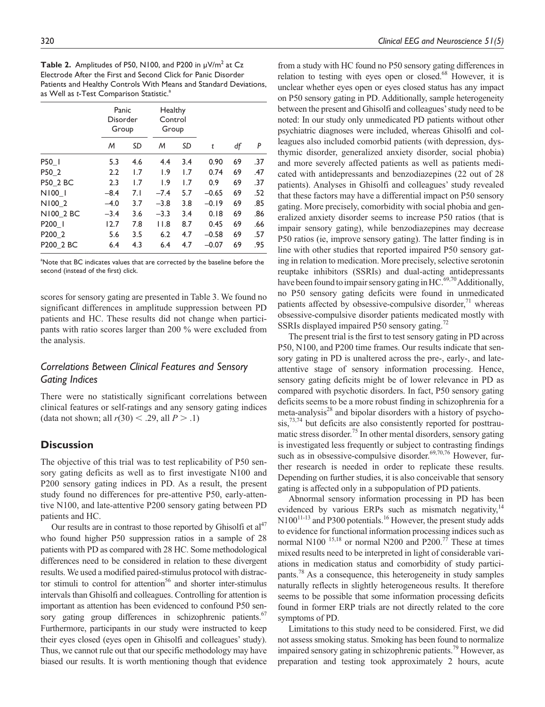**Table 2.** Amplitudes of P50, N100, and P200 in  $\mu$ V/m<sup>2</sup> at Cz Electrode After the First and Second Click for Panic Disorder Patients and Healthy Controls With Means and Standard Deviations, as Well as *t*-Test Comparison Statistic.<sup>a</sup>

|           | Panic<br>Disorder<br>Group |     | Healthy<br>Control<br>Group |     |         |    |     |
|-----------|----------------------------|-----|-----------------------------|-----|---------|----|-----|
|           | M                          | SD  | M                           | SD  | t       | df | P   |
| P50_I     | 5.3                        | 4.6 | 4.4                         | 3.4 | 0.90    | 69 | .37 |
| P50 2     | 2.2                        | 1.7 | 1.9                         | 1.7 | 0.74    | 69 | .47 |
| P50 2 BC  | 2.3                        | 1.7 | 1.9                         | 1.7 | 0.9     | 69 | .37 |
| N100 1    | $-8.4$                     | 7.1 | $-7.4$                      | 5.7 | $-0.65$ | 69 | .52 |
| N100 2    | $-4.0$                     | 3.7 | $-3.8$                      | 3.8 | $-0.19$ | 69 | .85 |
| N100 2 BC | $-3.4$                     | 3.6 | $-3.3$                      | 3.4 | 0.18    | 69 | .86 |
| P200      | 12.7                       | 7.8 | 11.8                        | 8.7 | 0.45    | 69 | .66 |
| P200 2    | 5.6                        | 3.5 | 6.2                         | 4.7 | $-0.58$ | 69 | .57 |
| P200_2 BC | 6.4                        | 4.3 | 6.4                         | 4.7 | $-0.07$ | 69 | .95 |

<sup>a</sup>Note that BC indicates values that are corrected by the baseline before the second (instead of the first) click.

scores for sensory gating are presented in Table 3. We found no significant differences in amplitude suppression between PD patients and HC. These results did not change when participants with ratio scores larger than 200 % were excluded from the analysis.

# *Correlations Between Clinical Features and Sensory Gating Indices*

There were no statistically significant correlations between clinical features or self-ratings and any sensory gating indices (data not shown; all *r*(30) < .29, all *P* > .1)

#### **Discussion**

The objective of this trial was to test replicability of P50 sensory gating deficits as well as to first investigate N100 and P200 sensory gating indices in PD. As a result, the present study found no differences for pre-attentive P50, early-attentive N100, and late-attentive P200 sensory gating between PD patients and HC.

Our results are in contrast to those reported by Ghisolfi et  $al<sup>47</sup>$ who found higher P50 suppression ratios in a sample of 28 patients with PD as compared with 28 HC. Some methodological differences need to be considered in relation to these divergent results. We used a modified paired-stimulus protocol with distractor stimuli to control for attention<sup>56</sup> and shorter inter-stimulus intervals than Ghisolfi and colleagues. Controlling for attention is important as attention has been evidenced to confound P50 sensory gating group differences in schizophrenic patients.<sup>67</sup> Furthermore, participants in our study were instructed to keep their eyes closed (eyes open in Ghisolfi and colleagues' study). Thus, we cannot rule out that our specific methodology may have biased our results. It is worth mentioning though that evidence

from a study with HC found no P50 sensory gating differences in relation to testing with eyes open or closed.<sup>68</sup> However, it is unclear whether eyes open or eyes closed status has any impact on P50 sensory gating in PD. Additionally, sample heterogeneity between the present and Ghisolfi and colleagues' study need to be noted: In our study only unmedicated PD patients without other psychiatric diagnoses were included, whereas Ghisolfi and colleagues also included comorbid patients (with depression, dysthymic disorder, generalized anxiety disorder, social phobia) and more severely affected patients as well as patients medicated with antidepressants and benzodiazepines (22 out of 28 patients). Analyses in Ghisolfi and colleagues' study revealed that these factors may have a differential impact on P50 sensory gating. More precisely, comorbidity with social phobia and generalized anxiety disorder seems to increase P50 ratios (that is impair sensory gating), while benzodiazepines may decrease P50 ratios (ie, improve sensory gating). The latter finding is in line with other studies that reported impaired P50 sensory gating in relation to medication. More precisely, selective serotonin reuptake inhibitors (SSRIs) and dual-acting antidepressants have been found to impair sensory gating in  $HC<sup>69,70</sup>$  Additionally, no P50 sensory gating deficits were found in unmedicated patients affected by obsessive-compulsive disorder, $71$  whereas obsessive-compulsive disorder patients medicated mostly with SSRIs displayed impaired P50 sensory gating.<sup>72</sup>

The present trial is the first to test sensory gating in PD across P50, N100, and P200 time frames. Our results indicate that sensory gating in PD is unaltered across the pre-, early-, and lateattentive stage of sensory information processing. Hence, sensory gating deficits might be of lower relevance in PD as compared with psychotic disorders. In fact, P50 sensory gating deficits seems to be a more robust finding in schizophrenia for a meta-analysis<sup>28</sup> and bipolar disorders with a history of psycho- $\sin^{73,74}$  but deficits are also consistently reported for posttraumatic stress disorder.<sup>75</sup> In other mental disorders, sensory gating is investigated less frequently or subject to contrasting findings such as in obsessive-compulsive disorder.<sup>69,70,76</sup> However, further research is needed in order to replicate these results. Depending on further studies, it is also conceivable that sensory gating is affected only in a subpopulation of PD patients.

Abnormal sensory information processing in PD has been evidenced by various ERPs such as mismatch negativity, $14$  $N100^{11-13}$  and P300 potentials.<sup>16</sup> However, the present study adds to evidence for functional information processing indices such as normal N100<sup>15,18</sup> or normal N200 and P200.<sup>77</sup> These at times mixed results need to be interpreted in light of considerable variations in medication status and comorbidity of study participants.78 As a consequence, this heterogeneity in study samples naturally reflects in slightly heterogeneous results. It therefore seems to be possible that some information processing deficits found in former ERP trials are not directly related to the core symptoms of PD.

Limitations to this study need to be considered. First, we did not assess smoking status. Smoking has been found to normalize impaired sensory gating in schizophrenic patients.<sup>79</sup> However, as preparation and testing took approximately 2 hours, acute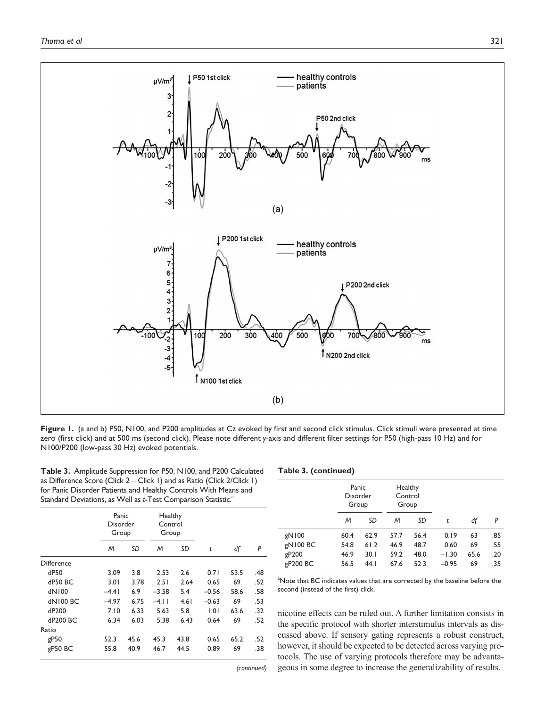

Figure 1. (a and b) P50, N100, and P200 amplitudes at Cz evoked by first and second click stimulus. Click stimuli were presented at time zero (first click) and at 500 ms (second click). Please note different *y*-axis and different filter settings for P50 (high-pass 10 Hz) and for N100/P200 (low-pass 30 Hz) evoked potentials.

**Table 3.** Amplitude Suppression for P50, N100, and P200 Calculated as Difference Score (Click 2 – Click 1) and as Ratio (Click 2/Click 1) for Panic Disorder Patients and Healthy Controls With Means and Standard Deviations, as Well as *t*-Test Comparison Statistic.<sup>a</sup>

|  |  | Table 3. (continued) |
|--|--|----------------------|
|--|--|----------------------|

|                    | Panic<br>Disorder<br>Group |      | Healthy<br>Control<br>Group |      |         |      |     |
|--------------------|----------------------------|------|-----------------------------|------|---------|------|-----|
|                    | M                          | SD   | M                           | SD   | t       | df   | P   |
| Difference         |                            |      |                             |      |         |      |     |
| dP50               | 3.09                       | 3.8  | 2.53                        | 2.6  | 0.71    | 53.5 | .48 |
| dP50 BC            | 3.01                       | 3.78 | 2.51                        | 2.64 | 0.65    | 69   | .52 |
| dN100              | $-4.41$                    | 6.9  | $-3.58$                     | 5.4  | $-0.56$ | 58.6 | .58 |
| dN100 BC           | $-4.97$                    | 6.75 | $-4.11$                     | 4.61 | $-0.63$ | 69   | .53 |
| dP200              | 7.10                       | 6.33 | 5.63                        | 5.8  | 1.01    | 63.6 | .32 |
| dP200 BC           | 6.34                       | 6.03 | 5.38                        | 6.43 | 0.64    | 69   | .52 |
| Ratio              |                            |      |                             |      |         |      |     |
| gP50               | 52.3                       | 45.6 | 45.3                        | 43.8 | 0.65    | 65.2 | .52 |
| gP50 <sub>BC</sub> | 55.8                       | 40.9 | 46.7                        | 44.5 | 0.89    | 69   | .38 |

|          |      | Panic<br>Disorder<br>Group |      | Healthy<br>Control<br>Group |         |      |     |
|----------|------|----------------------------|------|-----------------------------|---------|------|-----|
|          | M    | SD                         | M    | SD                          | t       | df   | P   |
| gN100    | 60.4 | 62.9                       | 57.7 | 56.4                        | 0.19    | 63   | .85 |
| gN100 BC | 54.8 | 61.2                       | 46.9 | 48.7                        | 0.60    | 69   | .55 |
| gP200    | 46.9 | 30. I                      | 59.2 | 48.0                        | $-1.30$ | 65.6 | .20 |
| gP200 BC | 56.5 | 44.1                       | 67.6 | 52.3                        | $-0.95$ | 69   | .35 |
|          |      |                            |      |                             |         |      |     |

Note that BC indicates values that are corrected by the baseline before the econd (instead of the first) click.

nicotine effects can be ruled out. A further limitation consists in the specific protocol with shorter interstimulus intervals as discussed above. If sensory gating represents a robust construct, however, it should be expected to be detected across varying protocols. The use of varying protocols therefore may be advantageous in some degree to increase the generalizability of results.

*(continued)*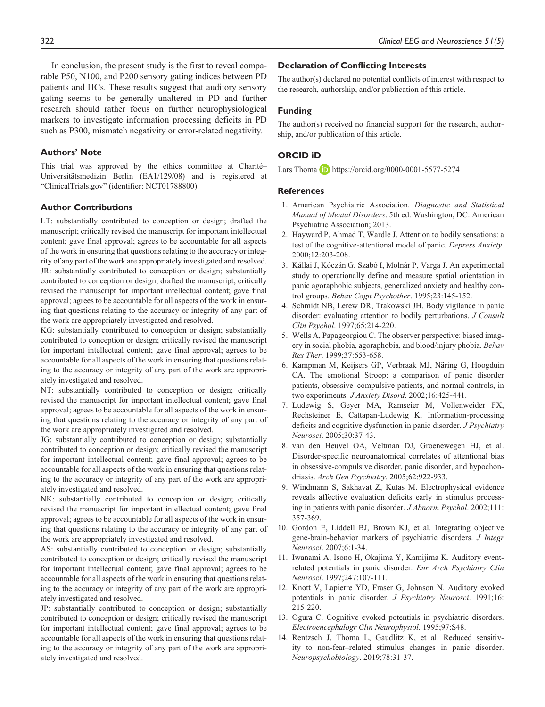In conclusion, the present study is the first to reveal comparable P50, N100, and P200 sensory gating indices between PD patients and HCs. These results suggest that auditory sensory gating seems to be generally unaltered in PD and further research should rather focus on further neurophysiological markers to investigate information processing deficits in PD such as P300, mismatch negativity or error-related negativity.

#### **Authors' Note**

This trial was approved by the ethics committee at Charité– Universitätsmedizin Berlin (EA1/129/08) and is registered at "ClinicalTrials.gov" (identifier: NCT01788800).

#### **Author Contributions**

LT: substantially contributed to conception or design; drafted the manuscript; critically revised the manuscript for important intellectual content; gave final approval; agrees to be accountable for all aspects of the work in ensuring that questions relating to the accuracy or integrity of any part of the work are appropriately investigated and resolved. JR: substantially contributed to conception or design; substantially contributed to conception or design; drafted the manuscript; critically revised the manuscript for important intellectual content; gave final approval; agrees to be accountable for all aspects of the work in ensuring that questions relating to the accuracy or integrity of any part of the work are appropriately investigated and resolved.

KG: substantially contributed to conception or design; substantially contributed to conception or design; critically revised the manuscript for important intellectual content; gave final approval; agrees to be accountable for all aspects of the work in ensuring that questions relating to the accuracy or integrity of any part of the work are appropriately investigated and resolved.

NT: substantially contributed to conception or design; critically revised the manuscript for important intellectual content; gave final approval; agrees to be accountable for all aspects of the work in ensuring that questions relating to the accuracy or integrity of any part of the work are appropriately investigated and resolved.

JG: substantially contributed to conception or design; substantially contributed to conception or design; critically revised the manuscript for important intellectual content; gave final approval; agrees to be accountable for all aspects of the work in ensuring that questions relating to the accuracy or integrity of any part of the work are appropriately investigated and resolved.

NK: substantially contributed to conception or design; critically revised the manuscript for important intellectual content; gave final approval; agrees to be accountable for all aspects of the work in ensuring that questions relating to the accuracy or integrity of any part of the work are appropriately investigated and resolved.

AS: substantially contributed to conception or design; substantially contributed to conception or design; critically revised the manuscript for important intellectual content; gave final approval; agrees to be accountable for all aspects of the work in ensuring that questions relating to the accuracy or integrity of any part of the work are appropriately investigated and resolved.

JP: substantially contributed to conception or design; substantially contributed to conception or design; critically revised the manuscript for important intellectual content; gave final approval; agrees to be accountable for all aspects of the work in ensuring that questions relating to the accuracy or integrity of any part of the work are appropriately investigated and resolved.

#### **Declaration of Conflicting Interests**

The author(s) declared no potential conflicts of interest with respect to the research, authorship, and/or publication of this article.

#### **Funding**

The author(s) received no financial support for the research, authorship, and/or publication of this article.

#### **ORCID iD**

Lars Thoma  $\Box$  <https://orcid.org/0000-0001-5577-5274>

#### **References**

- 1. American Psychiatric Association. *Diagnostic and Statistical Manual of Mental Disorders*. 5th ed. Washington, DC: American Psychiatric Association; 2013.
- 2. Hayward P, Ahmad T, Wardle J. Attention to bodily sensations: a test of the cognitive-attentional model of panic. *Depress Anxiety*. 2000;12:203-208.
- 3. Kállai J, Kóczán G, Szabó I, Molnár P, Varga J. An experimental study to operationally define and measure spatial orientation in panic agoraphobic subjects, generalized anxiety and healthy control groups. *Behav Cogn Psychother*. 1995;23:145-152.
- 4. Schmidt NB, Lerew DR, Trakowski JH. Body vigilance in panic disorder: evaluating attention to bodily perturbations. *J Consult Clin Psychol*. 1997;65:214-220.
- 5. Wells A, Papageorgiou C. The observer perspective: biased imagery in social phobia, agoraphobia, and blood/injury phobia. *Behav Res Ther*. 1999;37:653-658.
- 6. Kampman M, Keijsers GP, Verbraak MJ, Näring G, Hoogduin CA. The emotional Stroop: a comparison of panic disorder patients, obsessive–compulsive patients, and normal controls, in two experiments. *J Anxiety Disord*. 2002;16:425-441.
- 7. Ludewig S, Geyer MA, Ramseier M, Vollenweider FX, Rechsteiner E, Cattapan-Ludewig K. Information-processing deficits and cognitive dysfunction in panic disorder. *J Psychiatry Neurosci*. 2005;30:37-43.
- 8. van den Heuvel OA, Veltman DJ, Groenewegen HJ, et al. Disorder-specific neuroanatomical correlates of attentional bias in obsessive-compulsive disorder, panic disorder, and hypochondriasis. *Arch Gen Psychiatry*. 2005;62:922-933.
- 9. Windmann S, Sakhavat Z, Kutas M. Electrophysical evidence reveals affective evaluation deficits early in stimulus processing in patients with panic disorder. *J Abnorm Psychol*. 2002;111: 357-369.
- 10. Gordon E, Liddell BJ, Brown KJ, et al. Integrating objective gene-brain-behavior markers of psychiatric disorders. *J Integr Neurosci*. 2007;6:1-34.
- 11. Iwanami A, Isono H, Okajima Y, Kamijima K. Auditory eventrelated potentials in panic disorder. *Eur Arch Psychiatry Clin Neurosci*. 1997;247:107-111.
- 12. Knott V, Lapierre YD, Fraser G, Johnson N. Auditory evoked potentials in panic disorder. *J Psychiatry Neurosci*. 1991;16: 215-220.
- 13. Ogura C. Cognitive evoked potentials in psychiatric disorders. *Electroencephalogr Clin Neurophysiol*. 1995;97:S48.
- 14. Rentzsch J, Thoma L, Gaudlitz K, et al. Reduced sensitivity to non-fear–related stimulus changes in panic disorder. *Neuropsychobiology*. 2019;78:31-37.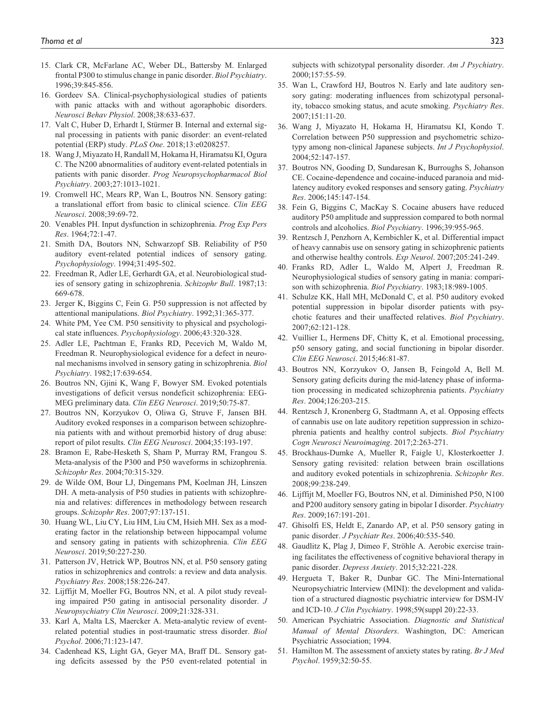- 15. Clark CR, McFarlane AC, Weber DL, Battersby M. Enlarged frontal P300 to stimulus change in panic disorder. *Biol Psychiatry*. 1996;39:845-856.
- 16. Gordeev SA. Clinical-psychophysiological studies of patients with panic attacks with and without agoraphobic disorders. *Neurosci Behav Physiol*. 2008;38:633-637.
- 17. Valt C, Huber D, Erhardt I, Stürmer B. Internal and external signal processing in patients with panic disorder: an event-related potential (ERP) study. *PLoS One*. 2018;13:e0208257.
- 18. Wang J, Miyazato H, Randall M, Hokama H, Hiramatsu KI, Ogura C. The N200 abnormalities of auditory event-related potentials in patients with panic disorder. *Prog Neuropsychopharmacol Biol Psychiatry*. 2003;27:1013-1021.
- 19. Cromwell HC, Mears RP, Wan L, Boutros NN. Sensory gating: a translational effort from basic to clinical science. *Clin EEG Neurosci*. 2008;39:69-72.
- 20. Venables PH. Input dysfunction in schizophrenia. *Prog Exp Pers Res*. 1964;72:1-47.
- 21. Smith DA, Boutors NN, Schwarzopf SB. Reliability of P50 auditory event-related potential indices of sensory gating. *Psychophysiology*. 1994;31:495-502.
- 22. Freedman R, Adler LE, Gerhardt GA, et al. Neurobiological studies of sensory gating in schizophrenia. *Schizophr Bull*. 1987;13: 669-678.
- 23. Jerger K, Biggins C, Fein G. P50 suppression is not affected by attentional manipulations. *Biol Psychiatry*. 1992;31:365-377.
- 24. White PM, Yee CM. P50 sensitivity to physical and psychological state influences. *Psychophysiology*. 2006;43:320-328.
- 25. Adler LE, Pachtman E, Franks RD, Pecevich M, Waldo M, Freedman R. Neurophysiological evidence for a defect in neuronal mechanisms involved in sensory gating in schizophrenia. *Biol Psychiatry*. 1982;17:639-654.
- 26. Boutros NN, Gjini K, Wang F, Bowyer SM. Evoked potentials investigations of deficit versus nondeficit schizophrenia: EEG-MEG preliminary data. *Clin EEG Neurosci*. 2019;50:75-87.
- 27. Boutros NN, Korzyukov O, Oliwa G, Struve F, Jansen BH. Auditory evoked responses in a comparison between schizophrenia patients with and without premorbid history of drug abuse: report of pilot results. *Clin EEG Neurosci*. 2004;35:193-197.
- 28. Bramon E, Rabe-Hesketh S, Sham P, Murray RM, Frangou S. Meta-analysis of the P300 and P50 waveforms in schizophrenia. *Schizophr Res*. 2004;70:315-329.
- 29. de Wilde OM, Bour LJ, Dingemans PM, Koelman JH, Linszen DH. A meta-analysis of P50 studies in patients with schizophrenia and relatives: differences in methodology between research groups. *Schizophr Res*. 2007;97:137-151.
- 30. Huang WL, Liu CY, Liu HM, Liu CM, Hsieh MH. Sex as a moderating factor in the relationship between hippocampal volume and sensory gating in patients with schizophrenia. *Clin EEG Neurosci*. 2019;50:227-230.
- 31. Patterson JV, Hetrick WP, Boutros NN, et al. P50 sensory gating ratios in schizophrenics and controls: a review and data analysis. *Psychiatry Res*. 2008;158:226-247.
- 32. Lijffijt M, Moeller FG, Boutros NN, et al. A pilot study revealing impaired P50 gating in antisocial personality disorder. *J Neuropsychiatry Clin Neurosci*. 2009;21:328-331.
- 33. Karl A, Malta LS, Maercker A. Meta-analytic review of eventrelated potential studies in post-traumatic stress disorder. *Biol Psychol*. 2006;71:123-147.
- 34. Cadenhead KS, Light GA, Geyer MA, Braff DL. Sensory gating deficits assessed by the P50 event-related potential in

subjects with schizotypal personality disorder. *Am J Psychiatry*. 2000;157:55-59.

- 35. Wan L, Crawford HJ, Boutros N. Early and late auditory sensory gating: moderating influences from schizotypal personality, tobacco smoking status, and acute smoking. *Psychiatry Res*. 2007;151:11-20.
- 36. Wang J, Miyazato H, Hokama H, Hiramatsu KI, Kondo T. Correlation between P50 suppression and psychometric schizotypy among non-clinical Japanese subjects. *Int J Psychophysiol*. 2004;52:147-157.
- 37. Boutros NN, Gooding D, Sundaresan K, Burroughs S, Johanson CE. Cocaine-dependence and cocaine-induced paranoia and midlatency auditory evoked responses and sensory gating. *Psychiatry Res*. 2006;145:147-154.
- 38. Fein G, Biggins C, MacKay S. Cocaine abusers have reduced auditory P50 amplitude and suppression compared to both normal controls and alcoholics. *Biol Psychiatry*. 1996;39:955-965.
- 39. Rentzsch J, Penzhorn A, Kernbichler K, et al. Differential impact of heavy cannabis use on sensory gating in schizophrenic patients and otherwise healthy controls. *Exp Neurol*. 2007;205:241-249.
- 40. Franks RD, Adler L, Waldo M, Alpert J, Freedman R. Neurophysiological studies of sensory gating in mania: comparison with schizophrenia. *Biol Psychiatry*. 1983;18:989-1005.
- 41. Schulze KK, Hall MH, McDonald C, et al. P50 auditory evoked potential suppression in bipolar disorder patients with psychotic features and their unaffected relatives. *Biol Psychiatry*. 2007;62:121-128.
- 42. Vuillier L, Hermens DF, Chitty K, et al. Emotional processing, p50 sensory gating, and social functioning in bipolar disorder. *Clin EEG Neurosci*. 2015;46:81-87.
- 43. Boutros NN, Korzyukov O, Jansen B, Feingold A, Bell M. Sensory gating deficits during the mid-latency phase of information processing in medicated schizophrenia patients. *Psychiatry Res*. 2004;126:203-215.
- 44. Rentzsch J, Kronenberg G, Stadtmann A, et al. Opposing effects of cannabis use on late auditory repetition suppression in schizophrenia patients and healthy control subjects. *Biol Psychiatry Cogn Neurosci Neuroimaging*. 2017;2:263-271.
- 45. Brockhaus-Dumke A, Mueller R, Faigle U, Klosterkoetter J. Sensory gating revisited: relation between brain oscillations and auditory evoked potentials in schizophrenia. *Schizophr Res*. 2008;99:238-249.
- 46. Lijffijt M, Moeller FG, Boutros NN, et al. Diminished P50, N100 and P200 auditory sensory gating in bipolar I disorder. *Psychiatry Res*. 2009;167:191-201.
- 47. Ghisolfi ES, Heldt E, Zanardo AP, et al. P50 sensory gating in panic disorder. *J Psychiatr Res*. 2006;40:535-540.
- 48. Gaudlitz K, Plag J, Dimeo F, Ströhle A. Aerobic exercise training facilitates the effectiveness of cognitive behavioral therapy in panic disorder. *Depress Anxiety*. 2015;32:221-228.
- 49. Hergueta T, Baker R, Dunbar GC. The Mini-International Neuropsychiatric Interview (MINI): the development and validation of a structured diagnostic psychiatric interview for DSM-IV and ICD-10. *J Clin Psychiatry*. 1998;59(suppl 20):22-33.
- 50. American Psychiatric Association. *Diagnostic and Statistical Manual of Mental Disorders*. Washington, DC: American Psychiatric Association; 1994.
- 51. Hamilton M. The assessment of anxiety states by rating. *Br J Med Psychol*. 1959;32:50-55.